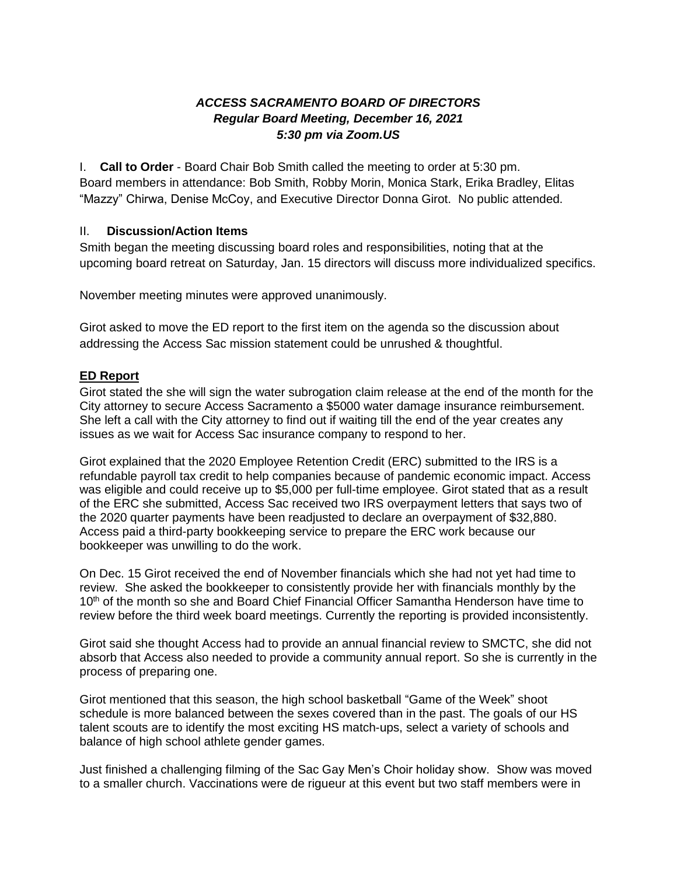# *ACCESS SACRAMENTO BOARD OF DIRECTORS Regular Board Meeting, December 16, 2021 5:30 pm via Zoom.US*

I. **Call to Order** - Board Chair Bob Smith called the meeting to order at 5:30 pm. Board members in attendance: Bob Smith, Robby Morin, Monica Stark, Erika Bradley, Elitas "Mazzy" Chirwa, Denise McCoy, and Executive Director Donna Girot. No public attended.

### II. **Discussion/Action Items**

Smith began the meeting discussing board roles and responsibilities, noting that at the upcoming board retreat on Saturday, Jan. 15 directors will discuss more individualized specifics.

November meeting minutes were approved unanimously.

Girot asked to move the ED report to the first item on the agenda so the discussion about addressing the Access Sac mission statement could be unrushed & thoughtful.

# **ED Report**

Girot stated the she will sign the water subrogation claim release at the end of the month for the City attorney to secure Access Sacramento a \$5000 water damage insurance reimbursement. She left a call with the City attorney to find out if waiting till the end of the year creates any issues as we wait for Access Sac insurance company to respond to her.

Girot explained that the 2020 Employee Retention Credit (ERC) submitted to the IRS is a refundable payroll tax credit to help companies because of pandemic economic impact. Access was eligible and could receive up to \$5,000 per full-time employee. Girot stated that as a result of the ERC she submitted, Access Sac received two IRS overpayment letters that says two of the 2020 quarter payments have been readjusted to declare an overpayment of \$32,880. Access paid a third-party bookkeeping service to prepare the ERC work because our bookkeeper was unwilling to do the work.

On Dec. 15 Girot received the end of November financials which she had not yet had time to review. She asked the bookkeeper to consistently provide her with financials monthly by the 10<sup>th</sup> of the month so she and Board Chief Financial Officer Samantha Henderson have time to review before the third week board meetings. Currently the reporting is provided inconsistently.

Girot said she thought Access had to provide an annual financial review to SMCTC, she did not absorb that Access also needed to provide a community annual report. So she is currently in the process of preparing one.

Girot mentioned that this season, the high school basketball "Game of the Week" shoot schedule is more balanced between the sexes covered than in the past. The goals of our HS talent scouts are to identify the most exciting HS match-ups, select a variety of schools and balance of high school athlete gender games.

Just finished a challenging filming of the Sac Gay Men's Choir holiday show. Show was moved to a smaller church. Vaccinations were de rigueur at this event but two staff members were in